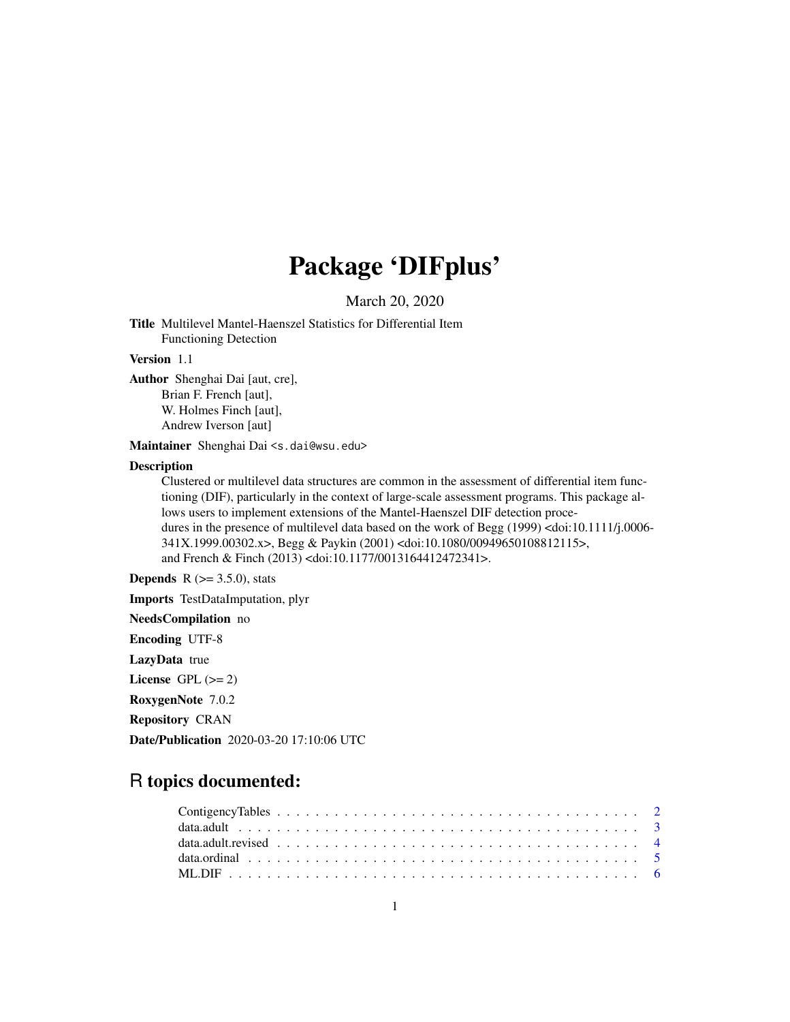# Package 'DIFplus'

March 20, 2020

Title Multilevel Mantel-Haenszel Statistics for Differential Item Functioning Detection

# Version 1.1

Author Shenghai Dai [aut, cre],

Brian F. French [aut], W. Holmes Finch [aut],

Andrew Iverson [aut]

Maintainer Shenghai Dai <s.dai@wsu.edu>

#### **Description**

Clustered or multilevel data structures are common in the assessment of differential item functioning (DIF), particularly in the context of large-scale assessment programs. This package allows users to implement extensions of the Mantel-Haenszel DIF detection procedures in the presence of multilevel data based on the work of Begg (1999) <doi:10.1111/j.0006- 341X.1999.00302.x>, Begg & Paykin (2001) <doi:10.1080/00949650108812115>, and French & Finch (2013) <doi:10.1177/0013164412472341>.

**Depends** R  $(>= 3.5.0)$ , stats

Imports TestDataImputation, plyr

NeedsCompilation no

Encoding UTF-8

LazyData true

License GPL  $(>= 2)$ 

RoxygenNote 7.0.2

Repository CRAN

Date/Publication 2020-03-20 17:10:06 UTC

# R topics documented: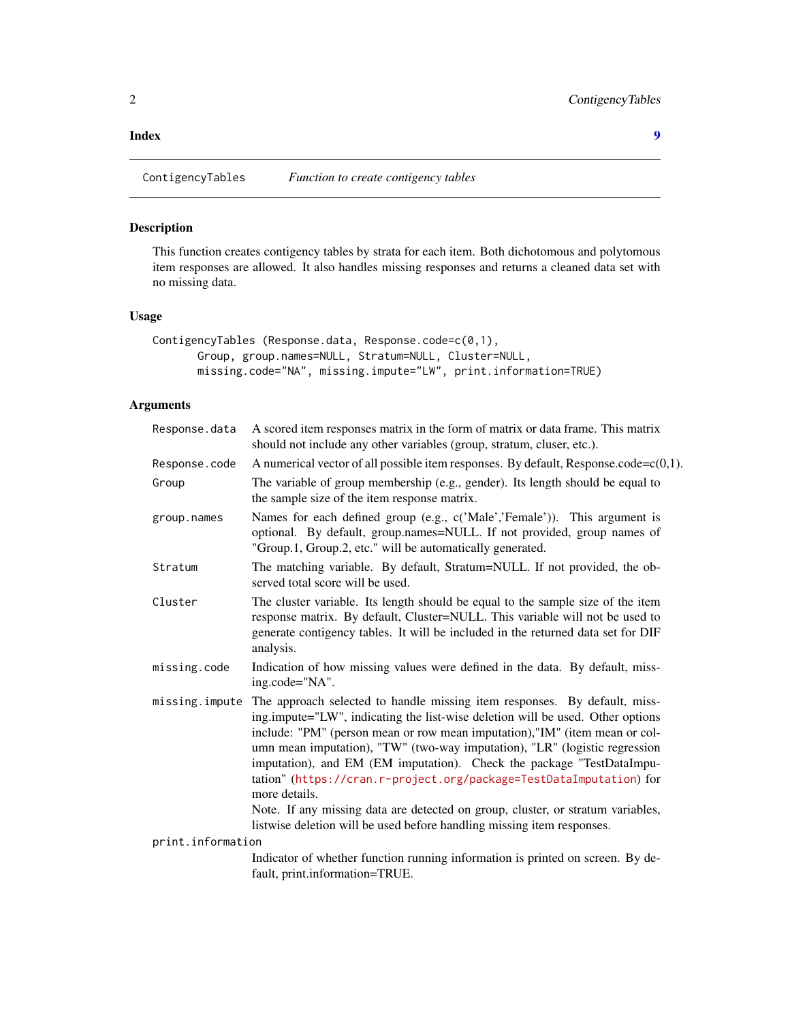#### <span id="page-1-0"></span>**Index** [9](#page-8-0)

ContigencyTables *Function to create contigency tables*

# Description

This function creates contigency tables by strata for each item. Both dichotomous and polytomous item responses are allowed. It also handles missing responses and returns a cleaned data set with no missing data.

# Usage

```
ContigencyTables (Response.data, Response.code=c(0,1),
      Group, group.names=NULL, Stratum=NULL, Cluster=NULL,
      missing.code="NA", missing.impute="LW", print.information=TRUE)
```
# Arguments

| Response.data     | A scored item responses matrix in the form of matrix or data frame. This matrix<br>should not include any other variables (group, stratum, cluser, etc.).                                                                                                                                                                                                                                                                                                                                                                                                                                                                                             |
|-------------------|-------------------------------------------------------------------------------------------------------------------------------------------------------------------------------------------------------------------------------------------------------------------------------------------------------------------------------------------------------------------------------------------------------------------------------------------------------------------------------------------------------------------------------------------------------------------------------------------------------------------------------------------------------|
| Response.code     | A numerical vector of all possible item responses. By default, Response.code=c(0,1).                                                                                                                                                                                                                                                                                                                                                                                                                                                                                                                                                                  |
| Group             | The variable of group membership (e.g., gender). Its length should be equal to<br>the sample size of the item response matrix.                                                                                                                                                                                                                                                                                                                                                                                                                                                                                                                        |
| group.names       | Names for each defined group (e.g., c('Male','Female')). This argument is<br>optional. By default, group.names=NULL. If not provided, group names of<br>"Group.1, Group.2, etc." will be automatically generated.                                                                                                                                                                                                                                                                                                                                                                                                                                     |
| Stratum           | The matching variable. By default, Stratum=NULL. If not provided, the ob-<br>served total score will be used.                                                                                                                                                                                                                                                                                                                                                                                                                                                                                                                                         |
| Cluster           | The cluster variable. Its length should be equal to the sample size of the item<br>response matrix. By default, Cluster=NULL. This variable will not be used to<br>generate contigency tables. It will be included in the returned data set for DIF<br>analysis.                                                                                                                                                                                                                                                                                                                                                                                      |
| missing.code      | Indication of how missing values were defined in the data. By default, miss-<br>ing.code="NA".                                                                                                                                                                                                                                                                                                                                                                                                                                                                                                                                                        |
| missing.impute    | The approach selected to handle missing item responses. By default, miss-<br>ing.impute="LW", indicating the list-wise deletion will be used. Other options<br>include: "PM" (person mean or row mean imputation),"IM" (item mean or col-<br>umn mean imputation), "TW" (two-way imputation), "LR" (logistic regression<br>imputation), and EM (EM imputation). Check the package "TestDataImpu-<br>tation" (https://cran.r-project.org/package=TestDataImputation) for<br>more details.<br>Note. If any missing data are detected on group, cluster, or stratum variables,<br>listwise deletion will be used before handling missing item responses. |
| print.information |                                                                                                                                                                                                                                                                                                                                                                                                                                                                                                                                                                                                                                                       |
|                   | Indicator of whether function running information is printed on screen. By de-<br>fault, print.information=TRUE.                                                                                                                                                                                                                                                                                                                                                                                                                                                                                                                                      |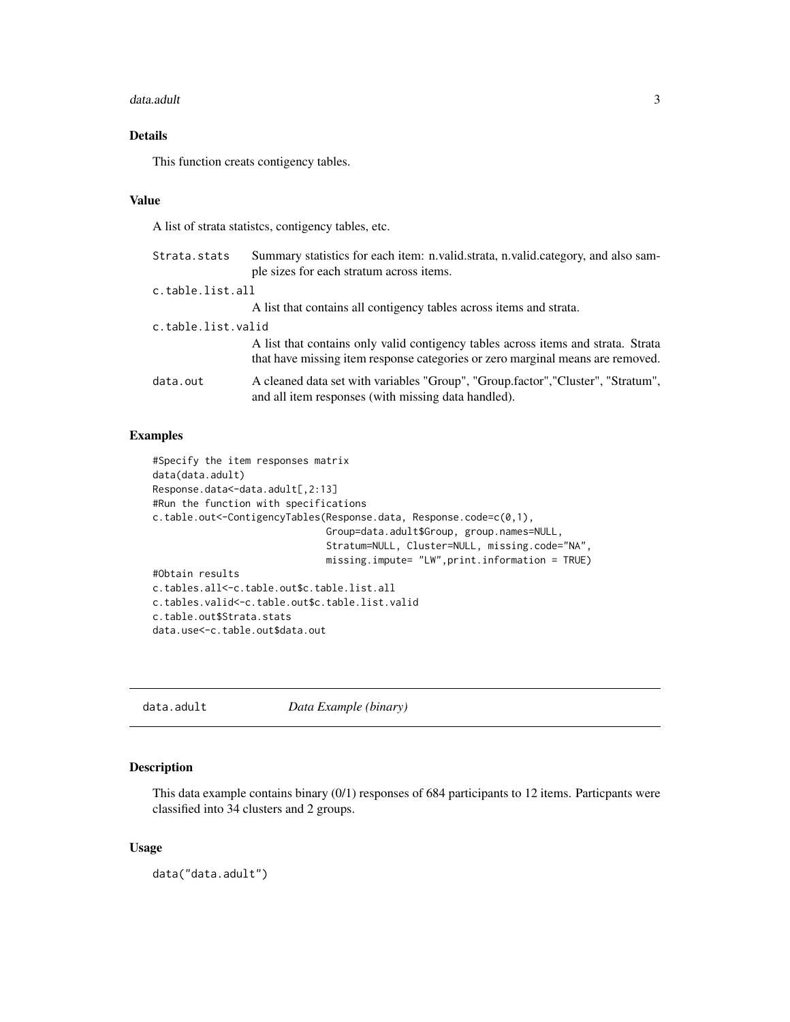#### <span id="page-2-0"></span>data.adult 3

# Details

This function creats contigency tables.

# Value

A list of strata statistcs, contigency tables, etc.

| Strata.stats       | Summary statistics for each item: n.valid.strata, n.valid.category, and also sam-<br>ple sizes for each stratum across items.                                       |
|--------------------|---------------------------------------------------------------------------------------------------------------------------------------------------------------------|
| c.table.list.all   |                                                                                                                                                                     |
|                    | A list that contains all contigency tables across items and strata.                                                                                                 |
| c.table.list.valid |                                                                                                                                                                     |
|                    | A list that contains only valid contigency tables across items and strata. Strata<br>that have missing item response categories or zero marginal means are removed. |
| data.out           | A cleaned data set with variables "Group", "Group.factor", "Cluster", "Stratum",<br>and all item responses (with missing data handled).                             |

### Examples

```
#Specify the item responses matrix
data(data.adult)
Response.data<-data.adult[,2:13]
#Run the function with specifications
c.table.out<-ContigencyTables(Response.data, Response.code=c(0,1),
                              Group=data.adult$Group, group.names=NULL,
                              Stratum=NULL, Cluster=NULL, missing.code="NA",
                              missing.impute= "LW",print.information = TRUE)
#Obtain results
c.tables.all<-c.table.out$c.table.list.all
c.tables.valid<-c.table.out$c.table.list.valid
c.table.out$Strata.stats
data.use<-c.table.out$data.out
```
data.adult *Data Example (binary)*

# Description

This data example contains binary (0/1) responses of 684 participants to 12 items. Particpants were classified into 34 clusters and 2 groups.

#### Usage

data("data.adult")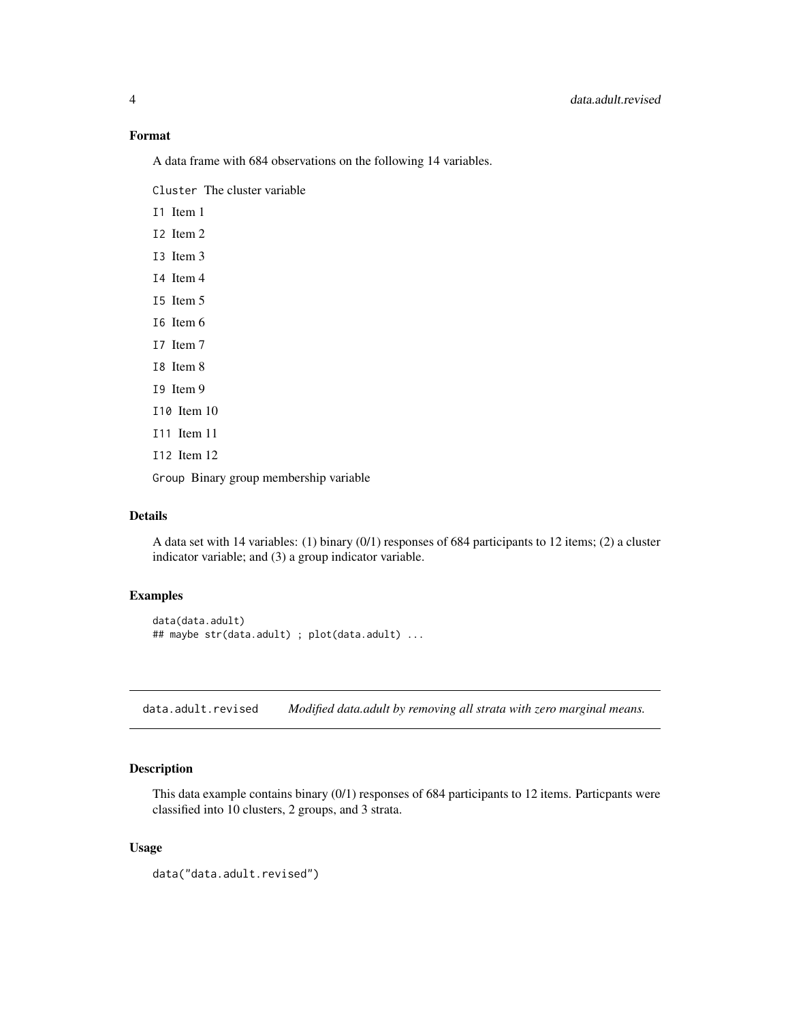## <span id="page-3-0"></span>Format

A data frame with 684 observations on the following 14 variables.

Cluster The cluster variable

I1 Item 1

- I2 Item 2
- I3 Item 3
- I4 Item 4
- I5 Item 5
- I6 Item 6
- I7 Item 7
- I8 Item 8 I9 Item 9
- I10 Item 10
- I11 Item 11
- I12 Item 12

Group Binary group membership variable

# Details

A data set with 14 variables: (1) binary (0/1) responses of 684 participants to 12 items; (2) a cluster indicator variable; and (3) a group indicator variable.

# Examples

```
data(data.adult)
## maybe str(data.adult) ; plot(data.adult) ...
```
data.adult.revised *Modified data.adult by removing all strata with zero marginal means.*

# Description

This data example contains binary (0/1) responses of 684 participants to 12 items. Particpants were classified into 10 clusters, 2 groups, and 3 strata.

#### Usage

```
data("data.adult.revised")
```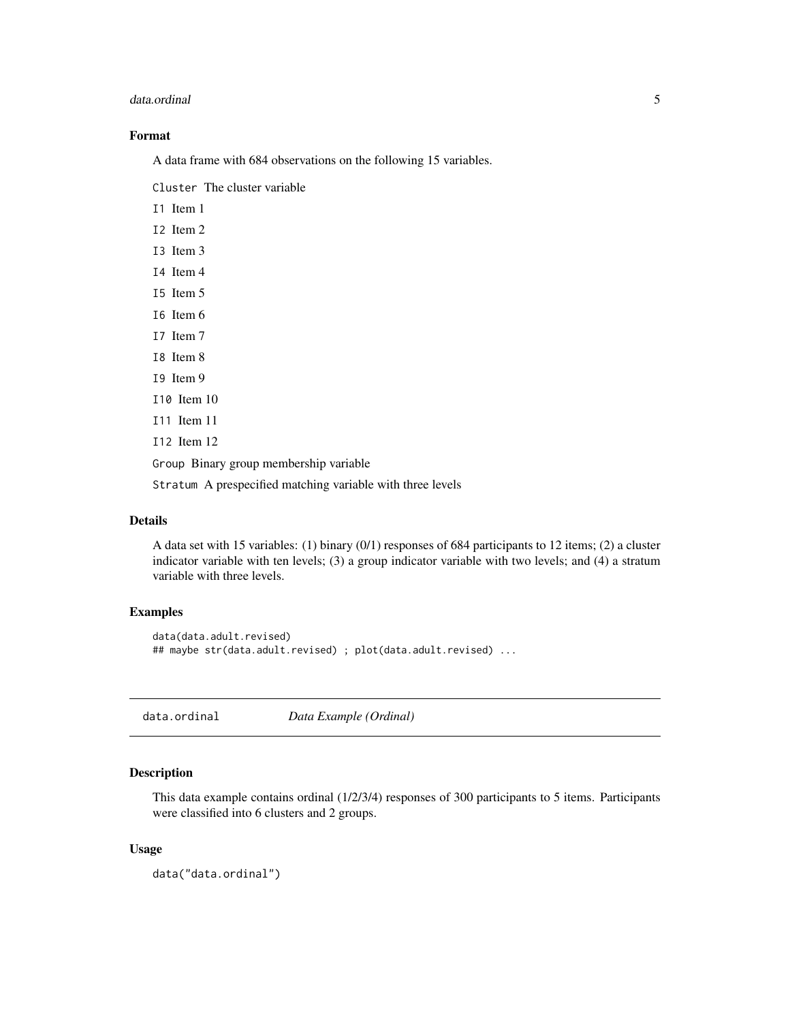#### <span id="page-4-0"></span>data.ordinal 5

# Format

A data frame with 684 observations on the following 15 variables.

Cluster The cluster variable

I1 Item 1

- I2 Item 2
- I3 Item 3
- I4 Item 4
- I5 Item 5
- I6 Item 6
- I7 Item 7
- I8 Item 8
- I9 Item 9
- I10 Item 10
- I11 Item 11
- I12 Item 12

Group Binary group membership variable

Stratum A prespecified matching variable with three levels

# Details

A data set with 15 variables: (1) binary (0/1) responses of 684 participants to 12 items; (2) a cluster indicator variable with ten levels; (3) a group indicator variable with two levels; and (4) a stratum variable with three levels.

#### Examples

```
data(data.adult.revised)
## maybe str(data.adult.revised) ; plot(data.adult.revised) ...
```
data.ordinal *Data Example (Ordinal)*

#### Description

This data example contains ordinal (1/2/3/4) responses of 300 participants to 5 items. Participants were classified into 6 clusters and 2 groups.

#### Usage

data("data.ordinal")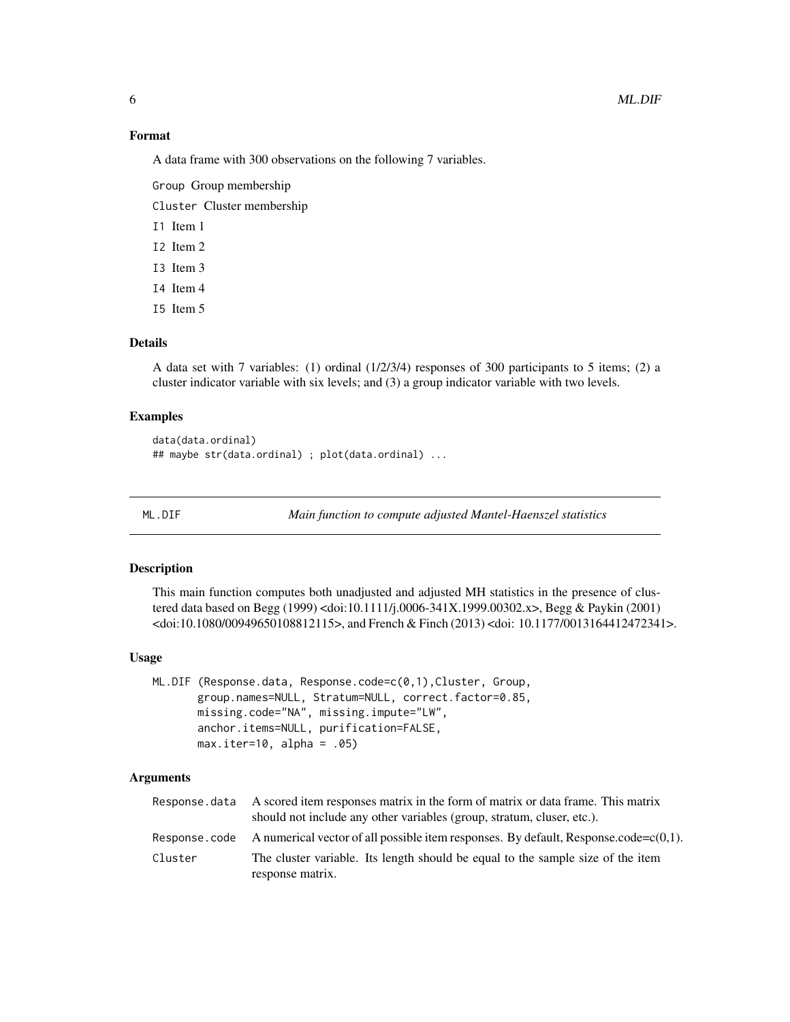### Format

A data frame with 300 observations on the following 7 variables.

Group Group membership

Cluster Cluster membership

I1 Item 1

I2 Item 2

I3 Item 3

I4 Item 4

I5 Item 5

#### Details

A data set with 7 variables: (1) ordinal (1/2/3/4) responses of 300 participants to 5 items; (2) a cluster indicator variable with six levels; and (3) a group indicator variable with two levels.

#### Examples

```
data(data.ordinal)
## maybe str(data.ordinal) ; plot(data.ordinal) ...
```
ML.DIF *Main function to compute adjusted Mantel-Haenszel statistics*

#### Description

This main function computes both unadjusted and adjusted MH statistics in the presence of clustered data based on Begg (1999) <doi:10.1111/j.0006-341X.1999.00302.x>, Begg & Paykin (2001) <doi:10.1080/00949650108812115>, and French & Finch (2013) <doi: 10.1177/0013164412472341>.

#### Usage

```
ML.DIF (Response.data, Response.code=c(0,1),Cluster, Group,
       group.names=NULL, Stratum=NULL, correct.factor=0.85,
       missing.code="NA", missing.impute="LW",
       anchor.items=NULL, purification=FALSE,
       max.iter=10, alpha = .05)
```
# Arguments

|         | Response data A scored item responses matrix in the form of matrix or data frame. This matrix<br>should not include any other variables (group, stratum, cluser, etc.). |
|---------|-------------------------------------------------------------------------------------------------------------------------------------------------------------------------|
|         | Response.code A numerical vector of all possible item responses. By default, Response.code= $c(0,1)$ .                                                                  |
| Cluster | The cluster variable. Its length should be equal to the sample size of the item                                                                                         |
|         | response matrix.                                                                                                                                                        |

<span id="page-5-0"></span>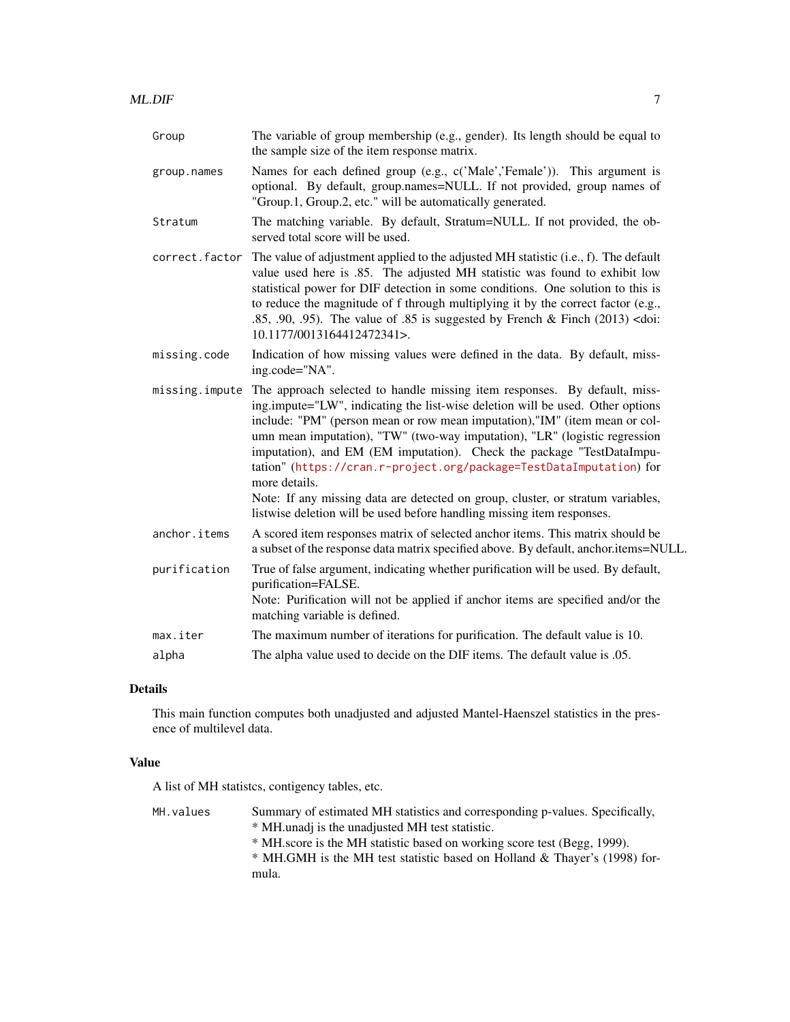| Group          | The variable of group membership (e.g., gender). Its length should be equal to<br>the sample size of the item response matrix.                                                                                                                                                                                                                                                                                                                                                           |
|----------------|------------------------------------------------------------------------------------------------------------------------------------------------------------------------------------------------------------------------------------------------------------------------------------------------------------------------------------------------------------------------------------------------------------------------------------------------------------------------------------------|
| group.names    | Names for each defined group (e.g., c('Male','Female')). This argument is<br>optional. By default, group.names=NULL. If not provided, group names of<br>"Group.1, Group.2, etc." will be automatically generated.                                                                                                                                                                                                                                                                        |
| Stratum        | The matching variable. By default, Stratum=NULL. If not provided, the ob-<br>served total score will be used.                                                                                                                                                                                                                                                                                                                                                                            |
| correct.factor | The value of adjustment applied to the adjusted MH statistic (i.e., f). The default<br>value used here is .85. The adjusted MH statistic was found to exhibit low<br>statistical power for DIF detection in some conditions. One solution to this is<br>to reduce the magnitude of f through multiplying it by the correct factor (e.g.,<br>.85, .90, .95). The value of .85 is suggested by French & Finch $(2013)$ <doi:<br>10.1177/0013164412472341&gt;.</doi:<br>                    |
| missing.code   | Indication of how missing values were defined in the data. By default, miss-<br>ing.code="NA".                                                                                                                                                                                                                                                                                                                                                                                           |
| missing.impute | The approach selected to handle missing item responses. By default, miss-<br>ing.impute="LW", indicating the list-wise deletion will be used. Other options<br>include: "PM" (person mean or row mean imputation),"IM" (item mean or col-<br>umn mean imputation), "TW" (two-way imputation), "LR" (logistic regression<br>imputation), and EM (EM imputation). Check the package "TestDataImpu-<br>tation" (https://cran.r-project.org/package=TestDataImputation) for<br>more details. |
|                | Note: If any missing data are detected on group, cluster, or stratum variables,<br>listwise deletion will be used before handling missing item responses.                                                                                                                                                                                                                                                                                                                                |
| anchor.items   | A scored item responses matrix of selected anchor items. This matrix should be<br>a subset of the response data matrix specified above. By default, anchor.items=NULL.                                                                                                                                                                                                                                                                                                                   |
| purification   | True of false argument, indicating whether purification will be used. By default,<br>purification=FALSE.<br>Note: Purification will not be applied if anchor items are specified and/or the<br>matching variable is defined.                                                                                                                                                                                                                                                             |
| max.iter       | The maximum number of iterations for purification. The default value is 10.                                                                                                                                                                                                                                                                                                                                                                                                              |
| alpha          | The alpha value used to decide on the DIF items. The default value is .05.                                                                                                                                                                                                                                                                                                                                                                                                               |

# Details

This main function computes both unadjusted and adjusted Mantel-Haenszel statistics in the presence of multilevel data.

# Value

A list of MH statistcs, contigency tables, etc.

| MH.values | Summary of estimated MH statistics and corresponding p-values. Specifically,<br>* MH unadj is the unadjusted MH test statistic.<br>* MH score is the MH statistic based on working score test (Begg, 1999).<br>* MH.GMH is the MH test statistic based on Holland & Thayer's (1998) for-<br>mula. |
|-----------|---------------------------------------------------------------------------------------------------------------------------------------------------------------------------------------------------------------------------------------------------------------------------------------------------|
|           |                                                                                                                                                                                                                                                                                                   |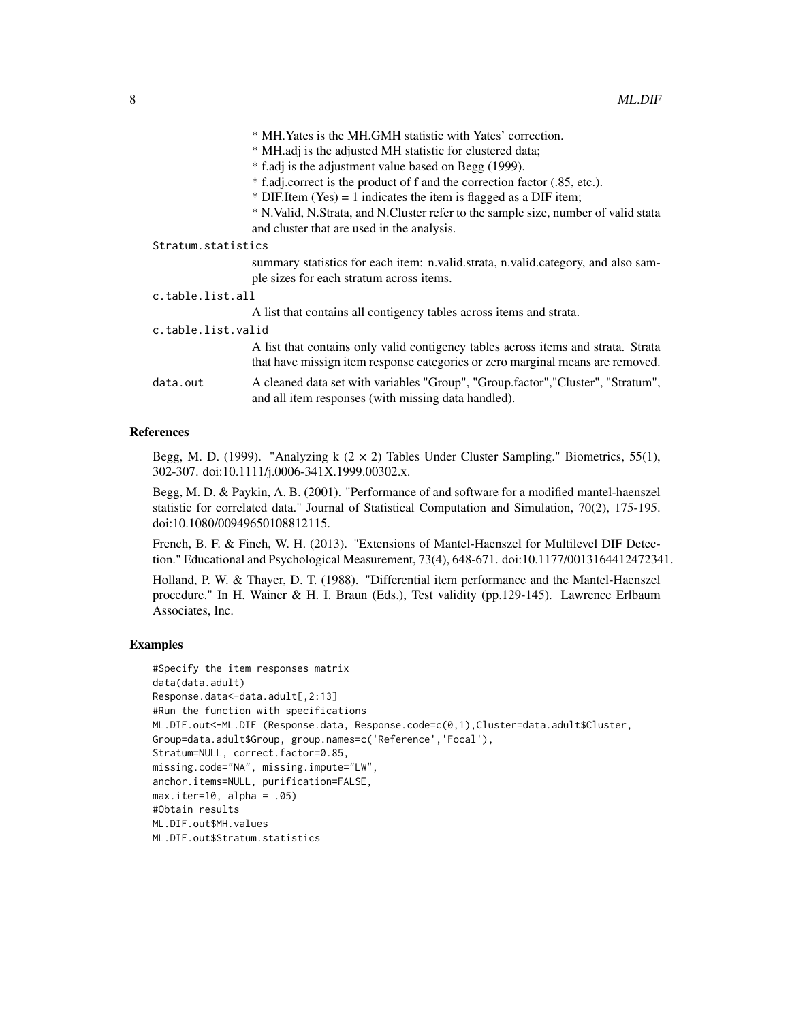| * MH. Yates is the MH. GMH statistic with Yates' correction. |
|--------------------------------------------------------------|
|--------------------------------------------------------------|

\* MH.adj is the adjusted MH statistic for clustered data;

\* f.adj is the adjustment value based on Begg (1999).

\* f.adj.correct is the product of f and the correction factor (.85, etc.).

 $*$  DIF.Item (Yes) = 1 indicates the item is flagged as a DIF item;

\* N.Valid, N.Strata, and N.Cluster refer to the sample size, number of valid stata and cluster that are used in the analysis.

#### Stratum.statistics

summary statistics for each item: n.valid.strata, n.valid.category, and also sample sizes for each stratum across items.

| c.table.list.all   |                                                                                                                                                                     |
|--------------------|---------------------------------------------------------------------------------------------------------------------------------------------------------------------|
|                    | A list that contains all contigency tables across items and strata.                                                                                                 |
| c.table.list.valid |                                                                                                                                                                     |
|                    | A list that contains only valid contigency tables across items and strata. Strata<br>that have missign item response categories or zero marginal means are removed. |
| data.out           | A cleaned data set with variables "Group", "Group.factor", "Cluster", "Stratum",<br>and all item responses (with missing data handled).                             |

#### References

Begg, M. D. (1999). "Analyzing k  $(2 \times 2)$  Tables Under Cluster Sampling." Biometrics, 55(1), 302-307. doi:10.1111/j.0006-341X.1999.00302.x.

Begg, M. D. & Paykin, A. B. (2001). "Performance of and software for a modified mantel-haenszel statistic for correlated data." Journal of Statistical Computation and Simulation, 70(2), 175-195. doi:10.1080/00949650108812115.

French, B. F. & Finch, W. H. (2013). "Extensions of Mantel-Haenszel for Multilevel DIF Detection." Educational and Psychological Measurement, 73(4), 648-671. doi:10.1177/0013164412472341.

Holland, P. W. & Thayer, D. T. (1988). "Differential item performance and the Mantel-Haenszel procedure." In H. Wainer & H. I. Braun (Eds.), Test validity (pp.129-145). Lawrence Erlbaum Associates, Inc.

#### Examples

```
#Specify the item responses matrix
data(data.adult)
Response.data<-data.adult[,2:13]
#Run the function with specifications
ML.DIF.out<-ML.DIF (Response.data, Response.code=c(0,1),Cluster=data.adult$Cluster,
Group=data.adult$Group, group.names=c('Reference','Focal'),
Stratum=NULL, correct.factor=0.85,
missing.code="NA", missing.impute="LW",
anchor.items=NULL, purification=FALSE,
max.iter=10, alpha = .05)
#Obtain results
ML.DIF.out$MH.values
ML.DIF.out$Stratum.statistics
```